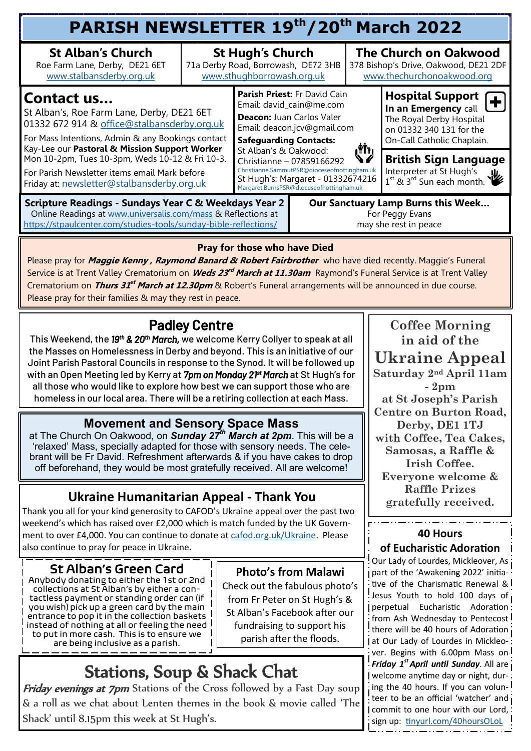| PARISH NEWSLETTER 19th/20th March 2022                                                                                                                                                                        |                                                                                              |                                                                                                                                                                                                                                                                                                                                              |  |                                                                                                     |                                                                                                                                       |  |  |  |  |
|---------------------------------------------------------------------------------------------------------------------------------------------------------------------------------------------------------------|----------------------------------------------------------------------------------------------|----------------------------------------------------------------------------------------------------------------------------------------------------------------------------------------------------------------------------------------------------------------------------------------------------------------------------------------------|--|-----------------------------------------------------------------------------------------------------|---------------------------------------------------------------------------------------------------------------------------------------|--|--|--|--|
| <b>St Alban's Church</b><br>Roe Farm Lane, Derby, DE21 6ET<br>www.stalbansderby.org.uk                                                                                                                        | <b>St Hugh's Church</b><br>71a Derby Road, Borrowash, DE72 3HB<br>www.sthughborrowash.org.uk |                                                                                                                                                                                                                                                                                                                                              |  | <b>The Church on Oakwood</b><br>378 Bishop's Drive, Oakwood, DE21 2DF<br>www.thechurchonoakwood.org |                                                                                                                                       |  |  |  |  |
| Contact us<br>St Alban's, Roe Farm Lane, Derby, DE21 6ET<br>01332 672 914 & office@stalbansderby.org.uk<br>For Mass Intentions, Admin & any Bookings contact<br>Kay-Lee our Pastoral & Mission Support Worker |                                                                                              | Parish Priest: Fr David Cain<br>Email: david_cain@me.com<br>Deacon: Juan Carlos Valer<br>Email: deacon.jcv@gmail.com<br><b>Safeguarding Contacts:</b><br>St Alban's & Oakwood:<br>Christianne - 07859166292<br>Christianne.SammutPSR@dioceseofnottingham.uk<br>St Hugh's: Margaret - 01332674216<br>Margaret.BurnsPSR@dioceseofnottingham.uk |  |                                                                                                     | <b>Hospital Support</b><br>In an Emergency call<br>The Royal Derby Hospital<br>on 01332 340 131 for the<br>On-Call Catholic Chaplain. |  |  |  |  |
| Mon 10-2pm, Tues 10-3pm, Weds 10-12 & Fri 10-3.<br>For Parish Newsletter items email Mark before<br>Friday at: newsletter@stalbansderby.org.uk                                                                | رڑا")                                                                                        |                                                                                                                                                                                                                                                                                                                                              |  | <b>British Sign Language</b><br>Interpreter at St Hugh's<br>$1^{35}$ & $3^{rd}$ Sun each month.     |                                                                                                                                       |  |  |  |  |
| <b>Scripture Readings - Sundays Year C &amp; Weekdays Year 2</b><br>Online Readings at www.universalis.com/mass & Reflections at<br>https://stpaulcenter.com/studies-tools/sunday-bible-reflections/          | Our Sanctuary Lamp Burns this Week<br>For Peggy Evans<br>may she rest in peace               |                                                                                                                                                                                                                                                                                                                                              |  |                                                                                                     |                                                                                                                                       |  |  |  |  |

### **Pray for those who have Died**

Please pray for **Maggie Kenny , Raymond Banard & Robert Fairbrother** who have died recently. Maggie's Funeral Service is at Trent Valley Crematorium on *Weds 23<sup>rd</sup> March at 11.30am* Raymond's Funeral Service is at Trent Valley Crematorium on *Thurs 31<sup>st</sup> March at 12.30pm* & Robert's Funeral arrangements will be announced in due course. Please pray for their families & may they rest in peace.

# Padley Centre

This Weekend, the *19th & 20th March,* we welcome Kerry Collyer to speak at all the Masses on Homelessness in Derby and beyond. This is an initiative of our Joint Parish Pastoral Councils in response to the Synod. It will be followed up with an Open Meeting led by Kerry at *7pm on Monday 21st March* at St Hugh's for all those who would like to explore how best we can support those who are homeless in our local area. There will be a retiring collection at each Mass.

## **Movement and Sensory Space Mass**

at The Church On Oakwood, on *Sunday 27th March at 2pm*. This will be a 'relaxed' Mass, specially adapted for those with sensory needs. The celebrant will be Fr David. Refreshment afterwards & if you have cakes to drop off beforehand, they would be most gratefully received. All are welcome!

## **Ukraine Humanitarian Appeal - Thank You**

Thank you all for your kind generosity to CAFOD's Ukraine appeal over the past two weekend's which has raised over £2,000 which is match funded by the UK Government to over £4,000. You can continue to donate at [cafod.org.uk/Ukraine.](mailto:cafod.org.uk/Ukraine) Please also continue to pray for peace in Ukraine.

## St Alban's Green Card

Anybody donating to either the 1st or 2nd collections at St Alban's by either a contactless payment or standing order can (if you wish) pick up a green card by the main entrance to pop it in the collection baskets instead of nothing at all or feeling the need to put in more cash. This is to ensure we are being inclusive as a parish.

### **Photo's from Malawi**

Check out the fabulous photo's from Fr Peter on St Hugh's & St Alban's Facebook after our fundraising to support his parish after the floods.

# Stations, Soup & Shack Chat

Friday evenings at 7pm Stations of the Cross followed by a Fast Day soup & a roll as we chat about Lenten themes in the book & movie called 'The Shack' until 8.15pm this week at St Hugh's.

### **Coffee Morning in aid of the Ukraine Appeal Saturday 2nd April 11am**

**- 2pm at St Joseph's Parish Centre on Burton Road, Derby, DE1 1TJ with Coffee, Tea Cakes, Samosas, a Raffle & Irish Coffee. Everyone welcome & Raffle Prizes gratefully received.**

#### **40 Hours of Eucharistic Adoration**

Our Lady of Lourdes, Mickleover, As part of the 'Awakening 2022' initiative of the Charismatic Renewal & Jesus Youth to hold 100 days of perpetual Eucharistic Adoration from Ash Wednesday to Pentecost there will be 40 hours of Adoration at Our Lady of Lourdes in Mickleover. Begins with 6.00pm Mass on *Friday 1st April until Sunday*. All are welcome anytime day or night, during the 40 hours. If you can volun- $\frac{1}{2}$ teer to be an official 'watcher' and commit to one hour with our Lord, sign up: [tinyurl.com/40hoursOLoL](mailto:tinyurl.com/40hoursOLoL)